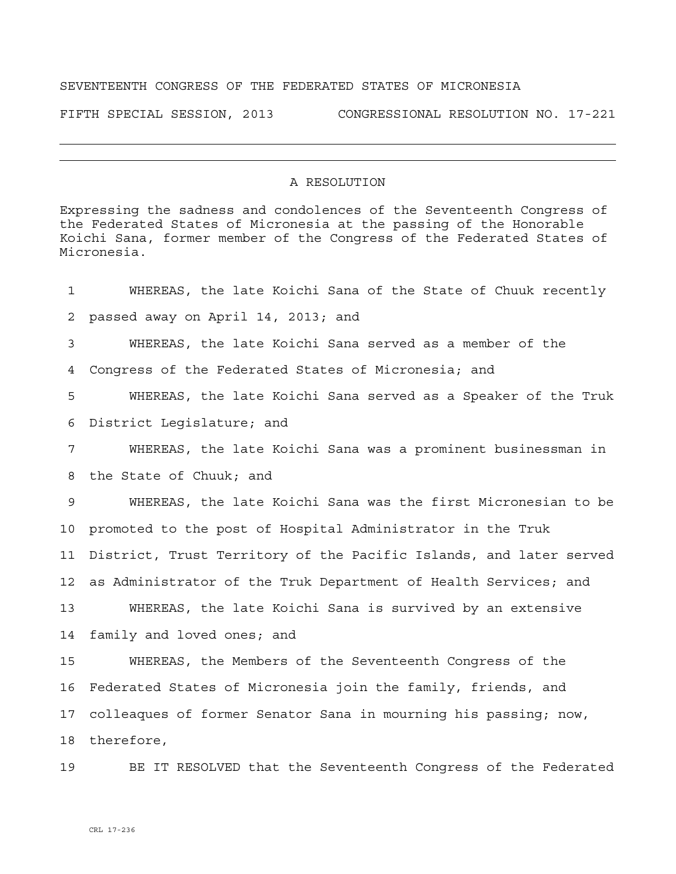## SEVENTEENTH CONGRESS OF THE FEDERATED STATES OF MICRONESIA

FIFTH SPECIAL SESSION, 2013 CONGRESSIONAL RESOLUTION NO. 17-221

## A RESOLUTION

Expressing the sadness and condolences of the Seventeenth Congress of the Federated States of Micronesia at the passing of the Honorable Koichi Sana, former member of the Congress of the Federated States of Micronesia.

| $\mathbf{1}$    | WHEREAS, the late Koichi Sana of the State of Chuuk recently       |  |  |
|-----------------|--------------------------------------------------------------------|--|--|
| 2               | passed away on April 14, 2013; and                                 |  |  |
| 3               | WHEREAS, the late Koichi Sana served as a member of the            |  |  |
| 4               | Congress of the Federated States of Micronesia; and                |  |  |
| 5               | WHEREAS, the late Koichi Sana served as a Speaker of the Truk      |  |  |
| 6               | District Legislature; and                                          |  |  |
| 7               | WHEREAS, the late Koichi Sana was a prominent businessman in       |  |  |
| 8               | the State of Chuuk; and                                            |  |  |
| 9               | WHEREAS, the late Koichi Sana was the first Micronesian to be      |  |  |
| 10              | promoted to the post of Hospital Administrator in the Truk         |  |  |
| 11              | District, Trust Territory of the Pacific Islands, and later served |  |  |
| 12 <sub>1</sub> | as Administrator of the Truk Department of Health Services; and    |  |  |
| 13              | WHEREAS, the late Koichi Sana is survived by an extensive          |  |  |
| 14              | family and loved ones; and                                         |  |  |
| 15              | WHEREAS, the Members of the Seventeenth Congress of the            |  |  |
| 16              | Federated States of Micronesia join the family, friends, and       |  |  |
| 17 <sub>2</sub> | colleaques of former Senator Sana in mourning his passing; now,    |  |  |
| 18              | therefore,                                                         |  |  |
| 19              | BE IT RESOLVED that the Seventeenth Congress of the Federated      |  |  |